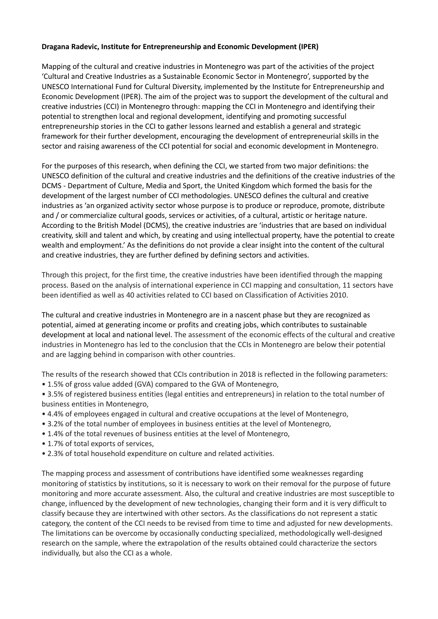## **Dragana Radevic, Institute for Entrepreneurship and Economic Development (IPER)**

Mapping of the cultural and creative industries in Montenegro was part of the activities of the project 'Cultural and Creative Industries as a Sustainable Economic Sector in Montenegro', supported by the UNESCO International Fund for Cultural Diversity, implemented by the Institute for Entrepreneurship and Economic Development (IPER). The aim of the project was to support the development of the cultural and creative industries (CCI) in Montenegro through: mapping the CCI in Montenegro and identifying their potential to strengthen local and regional development, identifying and promoting successful entrepreneurship stories in the CCI to gather lessons learned and establish a general and strategic framework for their further development, encouraging the development of entrepreneurial skills in the sector and raising awareness of the CCI potential for social and economic development in Montenegro.

For the purposes of this research, when defining the CCI, we started from two major definitions: the UNESCO definition of the cultural and creative industries and the definitions of the creative industries of the DCMS - Department of Culture, Media and Sport, the United Kingdom which formed the basis for the development of the largest number of CCI methodologies. UNESCO defines the cultural and creative industries as 'an organized activity sector whose purpose is to produce or reproduce, promote, distribute and / or commercialize cultural goods, services or activities, of a cultural, artistic or heritage nature. According to the British Model (DCMS), the creative industries are 'industries that are based on individual creativity, skill and talent and which, by creating and using intellectual property, have the potential to create wealth and employment.' As the definitions do not provide a clear insight into the content of the cultural and creative industries, they are further defined by defining sectors and activities.

Through this project, for the first time, the creative industries have been identified through the mapping process. Based on the analysis of international experience in CCI mapping and consultation, 11 sectors have been identified as well as 40 activities related to CCI based on Classification of Activities 2010.

The cultural and creative industries in Montenegro are in a nascent phase but they are recognized as potential, aimed at generating income or profits and creating jobs, which contributes to sustainable development at local and national level. The assessment of the economic effects of the cultural and creative industries in Montenegro has led to the conclusion that the CCIs in Montenegro are below their potential and are lagging behind in comparison with other countries.

The results of the research showed that CCIs contribution in 2018 is reflected in the following parameters: • 1.5% of gross value added (GVA) compared to the GVA of Montenegro,

• 3.5% of registered business entities (legal entities and entrepreneurs) in relation to the total number of business entities in Montenegro,

- 4.4% of employees engaged in cultural and creative occupations at the level of Montenegro,
- 3.2% of the total number of employees in business entities at the level of Montenegro,
- 1.4% of the total revenues of business entities at the level of Montenegro,
- 1.7% of total exports of services,
- 2.3% of total household expenditure on culture and related activities.

The mapping process and assessment of contributions have identified some weaknesses regarding monitoring of statistics by institutions, so it is necessary to work on their removal for the purpose of future monitoring and more accurate assessment. Also, the cultural and creative industries are most susceptible to change, influenced by the development of new technologies, changing their form and it is very difficult to classify because they are intertwined with other sectors. As the classifications do not represent a static category, the content of the CCI needs to be revised from time to time and adjusted for new developments. The limitations can be overcome by occasionally conducting specialized, methodologically well-designed research on the sample, where the extrapolation of the results obtained could characterize the sectors individually, but also the CCI as a whole.